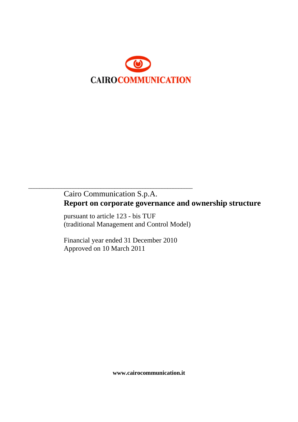

# Cairo Communication S.p.A. **Report on corporate governance and ownership structure**

pursuant to article 123 - bis TUF (traditional Management and Control Model)

Financial year ended 31 December 2010 Approved on 10 March 2011

\_\_\_\_\_\_\_\_\_\_\_\_\_\_\_\_\_\_\_\_\_\_\_\_\_\_\_\_\_\_\_\_\_\_\_\_\_\_\_\_\_\_\_\_\_\_\_\_\_\_\_\_\_\_\_\_\_\_\_

**www.cairocommunication.it**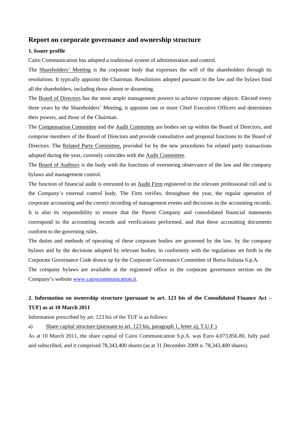## **Report on corporate governance and ownership structure**

## **1. Issuer profile**

Cairo Communication has adopted a traditional system of administration and control.

The Shareholders' Meeting is the corporate body that expresses the will of the shareholders through its resolutions. It typically appoints the Chairman. Resolutions adopted pursuant to the law and the bylaws bind all the shareholders, including those absent or dissenting.

The Board of Directors has the most ample management powers to achieve corporate objects. Elected every three years by the Shareholders' Meeting, it appoints one or more Chief Executive Officers and determines their powers, and those of the Chairman.

The Compensation Committee and the Audit Committee are bodies set up within the Board of Directors, and comprise members of the Board of Directors and provide consultative and proposal functions to the Board of Directors. The Related Party Committee, provided for by the new procedures for related party transactions adopted during the year, currently coincides with the Audit Committee.

The Board of **Auditors** is the body with the functions of overseeing observance of the law and the company bylaws and management control.

The function of financial audit is entrusted to an Audit Firm registered in the relevant professional roll and is the Company's external control body. The Firm verifies, throughout the year, the regular operation of corporate accounting and the correct recording of management events and decisions in the accounting records. It is also its responsibility to ensure that the Parent Company and consolidated financial statements correspond to the accounting records and verifications performed, and that these accounting documents conform to the governing rules.

The duties and methods of operating of these corporate bodies are governed by the law, by the company bylaws and by the decisions adopted by relevant bodies, in conformity with the regulations set forth in the Corporate Governance Code drawn up by the Corporate Governance Committee of Borsa Italiana S.p.A.

The company bylaws are available at the registered office in the corporate governance section on the Company's website [www.cairocommunication.it](http://www.cairocommunication.it/).

## **2. Information on ownership structure (pursuant to art. 123 bis of the Consolidated Finance Act – TUF) as at 10 March 2011**

Information prescribed by art. 123 bis of the TUF is as follows:

a) Share capital structure (pursuant to art. 123 bis, paragraph 1, letter a), T.U.F.)

As at 10 March 2011, the share capital of Cairo Communication S.p.A. was Euro 4,073,856.80, fully paid and subscribed, and it comprised 78,343,400 shares (as at 31 December 2009 n. 78,343,400 shares).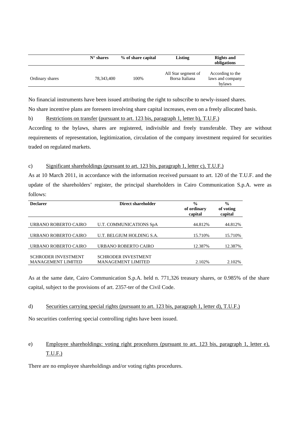|                 | $N^{\circ}$ shares | % of share capital | Listing                               | <b>Rights and</b><br>obligations               |
|-----------------|--------------------|--------------------|---------------------------------------|------------------------------------------------|
| Ordinary shares | 78,343,400         | 100%               | All Star segment of<br>Borsa Italiana | According to the<br>laws and company<br>bylaws |

No financial instruments have been issued attributing the right to subscribe to newly-issued shares.

No share incentive plans are foreseen involving share capital increases, even on a freely allocated basis.

b) Restrictions on transfer (pursuant to art. 123 bis, paragraph 1, letter b), T.U.F.)

According to the bylaws, shares are registered, indivisible and freely transferable. They are without requirements of representation, legitimization, circulation of the company investment required for securities traded on regulated markets.

## c) Significant shareholdings (pursuant to art. 123 bis, paragraph 1, letter c), T.U.F.)

As at 10 March 2011, in accordance with the information received pursuant to art. 120 of the T.U.F. and the update of the shareholders' register, the principal shareholders in Cairo Communication S.p.A. were as follows:

| <b>Declarer</b>            | Direct shareholder         | $\frac{0}{0}$<br>of ordinary<br>capital | $\frac{0}{0}$<br>of voting<br>capital |
|----------------------------|----------------------------|-----------------------------------------|---------------------------------------|
|                            |                            |                                         |                                       |
| URBANO ROBERTO CAIRO       | U.T. COMMUNICATIONS SpA    | 44.812%                                 | 44.812%                               |
|                            |                            |                                         |                                       |
| URBANO ROBERTO CAIRO       | U.T. BELGIUM HOLDING S.A.  | 15.710\%                                | 15.710%                               |
|                            |                            |                                         |                                       |
| URBANO ROBERTO CAIRO       | URBANO ROBERTO CAIRO       | 12.387%                                 | 12.387%                               |
|                            |                            |                                         |                                       |
| <b>SCHRODER INVESTMENT</b> | <b>SCHRODER INVESTMENT</b> |                                         |                                       |
| <b>MANAGEMENT LIMITED</b>  | <b>MANAGEMENT LIMITED</b>  | 2.102%                                  | 2.102%                                |

As at the same date, Cairo Communication S.p.A. held n. 771,326 treasury shares, or 0.985% of the share capital, subject to the provisions of art. 2357-ter of the Civil Code.

#### d) Securities carrying special rights (pursuant to art. 123 bis, paragraph 1, letter d), T.U.F.)

No securities conferring special controlling rights have been issued.

## e) Employee shareholdings: voting right procedures (pursuant to art. 123 bis, paragraph 1, letter e), T.U.F.)

There are no employee shareholdings and/or voting rights procedures.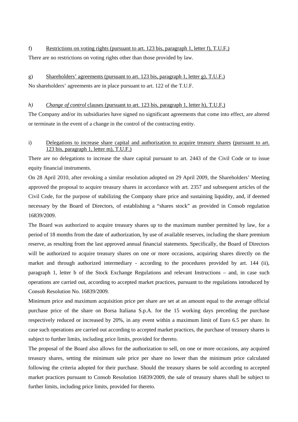f) Restrictions on voting rights (pursuant to art. 123 bis, paragraph 1, letter f), T.U.F.) There are no restrictions on voting rights other than those provided by law.

g) Shareholders' agreements (pursuant to art. 123 bis, paragraph 1, letter g), T.U.F.) No shareholders' agreements are in place pursuant to art. 122 of the T.U.F.

#### *h*) Change of control clauses (pursuant to art. 123 bis, paragraph 1, letter h), T.U.F.)

The Company and/or its subsidiaries have signed no significant agreements that come into effect, are altered or terminate in the event of a change in the control of the contracting entity.

## i) Delegations to increase share capital and authorization to acquire treasury shares (pursuant to art. 123 bis, paragraph 1, letter m), T.U.F.)

There are no delegations to increase the share capital pursuant to art. 2443 of the Civil Code or to issue equity financial instruments.

On 28 April 2010, after revoking a similar resolution adopted on 29 April 2009, the Shareholders' Meeting approved the proposal to acquire treasury shares in accordance with art. 2357 and subsequent articles of the Civil Code, for the purpose of stabilizing the Company share price and sustaining liquidity, and, if deemed necessary by the Board of Directors, of establishing a "shares stock" as provided in Consob regulation 16839/2009.

The Board was authorized to acquire treasury shares up to the maximum number permitted by law, for a period of 18 months from the date of authorization, by use of available reserves, including the share premium reserve, as resulting from the last approved annual financial statements. Specifically, the Board of Directors will be authorized to acquire treasury shares on one or more occasions, acquiring shares directly on the market and through authorized intermediary - according to the procedures provided by art. 144 (ii), paragraph 1, letter b of the Stock Exchange Regulations and relevant Instructions – and, in case such operations are carried out, according to accepted market practices, pursuant to the regulations introduced by Consob Resolution No. 16839/2009.

Minimum price and maximum acquisition price per share are set at an amount equal to the average official purchase price of the share on Borsa Italiana S.p.A. for the 15 working days preceding the purchase respectively reduced or increased by 20%, in any event within a maximum limit of Euro 6.5 per share. In case such operations are carried out according to accepted market practices, the purchase of treasury shares is subject to further limits, including price limits, provided for thereto.

The proposal of the Board also allows for the authorization to sell, on one or more occasions, any acquired treasury shares, setting the minimum sale price per share no lower than the minimum price calculated following the criteria adopted for their purchase. Should the treasury shares be sold according to accepted market practices pursuant to Consob Resolution 16839/2009, the sale of treasury shares shall be subject to further limits, including price limits, provided for thereto.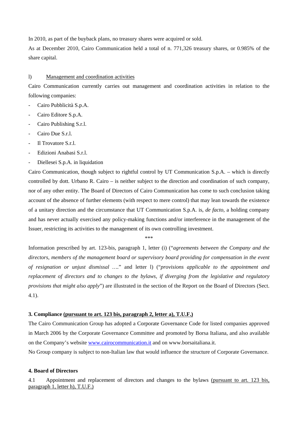In 2010, as part of the buyback plans, no treasury shares were acquired or sold.

As at December 2010, Cairo Communication held a total of n. 771,326 treasury shares, or 0.985% of the share capital.

#### l) Management and coordination activities

Cairo Communication currently carries out management and coordination activities in relation to the following companies:

- Cairo Pubblicità S.p.A.
- Cairo Editore S.p.A.
- Cairo Publishing S.r.l.
- Cairo Due S.r.l.
- Il Trovatore S.r.l.
- Edizioni Anabasi S.r.l.
- Diellesei S.p.A. in liquidation

Cairo Communication, though subject to rightful control by UT Communication S.p.A. – which is directly controlled by dott. Urbano R. Cairo – is neither subject to the direction and coordination of such company, nor of any other entity. The Board of Directors of Cairo Communication has come to such conclusion taking account of the absence of further elements (with respect to mere control) that may lean towards the existence of a unitary direction and the circumstance that UT Communication S.p.A. is, *de facto*, a holding company and has never actually exercised any policy-making functions and/or interference in the management of the Issuer, restricting its activities to the management of its own controlling investment.

\*\*\*

Information prescribed by art. 123-bis, paragraph 1, letter (i) ("*agreements between the Company and the directors, members of the management board or supervisory board providing for compensation in the event of resignation or unjust dismissal ….*" and letter l) ("*provisions applicable to the appointment and replacement of directors and to changes to the bylaws, if diverging from the legislative and regulatory provisions that might also apply*") are illustrated in the section of the Report on the Board of Directors (Sect. 4.1).

#### **3. Compliance (pursuant to art. 123 bis, paragraph 2, letter a), T.U.F.)**

The Cairo Communication Group has adopted a Corporate Governance Code for listed companies approved in March 2006 by the Corporate Governance Committee and promoted by Borsa Italiana, and also available on the Company's website [www.cairocommunication.it](http://www.cairocommunication.it/) and on www.borsaitaliana.it.

No Group company is subject to non-Italian law that would influence the structure of Corporate Governance.

#### **4. Board of Directors**

4.1 Appointment and replacement of directors and changes to the bylaws (pursuant to art. 123 bis, paragraph 1, letter h), T.U.F.)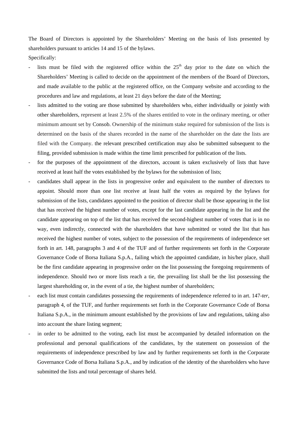The Board of Directors is appointed by the Shareholders' Meeting on the basis of lists presented by shareholders pursuant to articles 14 and 15 of the bylaws.

Specifically:

- lists must be filed with the registered office within the  $25<sup>th</sup>$  day prior to the date on which the Shareholders' Meeting is called to decide on the appointment of the members of the Board of Directors, and made available to the public at the registered office, on the Company website and according to the procedures and law and regulations, at least 21 days before the date of the Meeting;
- lists admitted to the voting are those submitted by shareholders who, either individually or jointly with other shareholders, represent at least 2.5% of the shares entitled to vote in the ordinary meeting, or other minimum amount set by Consob. Ownership of the minimum stake required for submission of the lists is determined on the basis of the shares recorded in the name of the shareholder on the date the lists are filed with the Company. the relevant prescribed certification may also be submitted subsequent to the filing, provided submission is made within the time limit prescribed for publication of the lists.
- for the purposes of the appointment of the directors, account is taken exclusively of lists that have received at least half the votes established by the bylaws for the submission of lists;
- candidates shall appear in the lists in progressive order and equivalent to the number of directors to appoint. Should more than one list receive at least half the votes as required by the bylaws for submission of the lists, candidates appointed to the position of director shall be those appearing in the list that has received the highest number of votes, except for the last candidate appearing in the list and the candidate appearing on top of the list that has received the second-highest number of votes that is in no way, even indirectly, connected with the shareholders that have submitted or voted the list that has received the highest number of votes, subject to the possession of the requirements of independence set forth in art. 148, paragraphs 3 and 4 of the TUF and of further requirements set forth in the Corporate Governance Code of Borsa Italiana S.p.A., failing which the appointed candidate, in his/her place, shall be the first candidate appearing in progressive order on the list possessing the foregoing requirements of independence. Should two or more lists reach a tie, the prevailing list shall be the list possessing the largest shareholding or, in the event of a tie, the highest number of shareholders;
- each list must contain candidates possessing the requirements of independence referred to in art. 147-*ter*, paragraph 4, of the TUF, and further requirements set forth in the Corporate Governance Code of Borsa Italiana S.p.A., in the minimum amount established by the provisions of law and regulations, taking also into account the share listing segment;
- in order to be admitted to the voting, each list must be accompanied by detailed information on the professional and personal qualifications of the candidates, by the statement on possession of the requirements of independence prescribed by law and by further requirements set forth in the Corporate Governance Code of Borsa Italiana S.p.A., and by indication of the identity of the shareholders who have submitted the lists and total percentage of shares held.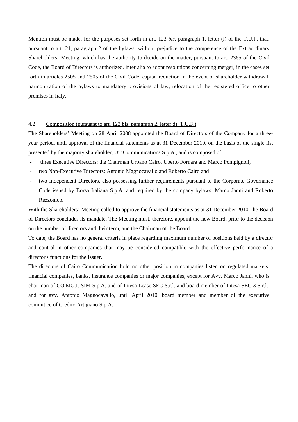Mention must be made, for the purposes set forth in art. 123 *bis,* paragraph 1, letter (l) of the T.U.F. that, pursuant to art. 21, paragraph 2 of the bylaws, without prejudice to the competence of the Extraordinary Shareholders' Meeting, which has the authority to decide on the matter, pursuant to art. 2365 of the Civil Code, the Board of Directors is authorized, inter alia to adopt resolutions concerning merger, in the cases set forth in articles 2505 and 2505 of the Civil Code, capital reduction in the event of shareholder withdrawal, harmonization of the bylaws to mandatory provisions of law, relocation of the registered office to other premises in Italy.

#### 4.2Composition (pursuant to art. 123 bis, paragraph 2, letter d), T.U.F.)

The Shareholders' Meeting on 28 April 2008 appointed the Board of Directors of the Company for a threeyear period, until approval of the financial statements as at 31 December 2010, on the basis of the single list presented by the majority shareholder, UT Communications S.p.A., and is composed of:

- three Executive Directors: the Chairman Urbano Cairo, Uberto Fornara and Marco Pompignoli,
- two Non-Executive Directors: Antonio Magnocavallo and Roberto Cairo and
- two Independent Directors, also possessing further requirements pursuant to the Corporate Governance Code issued by Borsa Italiana S.p.A. and required by the company bylaws: Marco Janni and Roberto Rezzonico.

With the Shareholders' Meeting called to approve the financial statements as at 31 December 2010, the Board of Directors concludes its mandate. The Meeting must, therefore, appoint the new Board, prior to the decision on the number of directors and their term, and the Chairman of the Board.

To date, the Board has no general criteria in place regarding maximum number of positions held by a director and control in other companies that may be considered compatible with the effective performance of a director's functions for the Issuer.

The directors of Cairo Communication hold no other position in companies listed on regulated markets, financial companies, banks, insurance companies or major companies, except for Avv. Marco Janni, who is chairman of CO.MO.I. SIM S.p.A. and of Intesa Lease SEC S.r.l. and board member of Intesa SEC 3 S.r.l., and for avv. Antonio Magnocavallo, until April 2010, board member and member of the executive committee of Credito Artigiano S.p.A.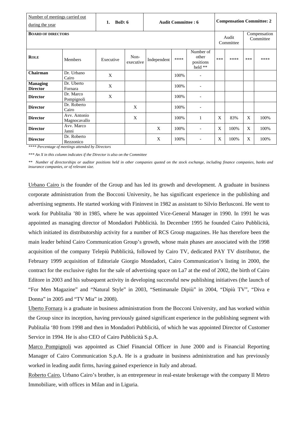| Number of meetings carried out<br>during the year |                              | BoD: 6<br>1. |                   | <b>Audit Committee: 6</b> |      | <b>Compensation Committee: 2</b>           |              |      |                           |      |
|---------------------------------------------------|------------------------------|--------------|-------------------|---------------------------|------|--------------------------------------------|--------------|------|---------------------------|------|
| <b>BOARD OF DIRECTORS</b>                         |                              |              |                   |                           |      | Audit<br>Committee                         |              |      | Compensation<br>Committee |      |
| <b>ROLE</b>                                       | <b>Members</b>               | Executive    | Non-<br>executive | Independent               | **** | Number of<br>other<br>positions<br>held ** | ***          | **** | ***                       | **** |
| Chairman                                          | Dr. Urbano<br>Cairo          | X            |                   |                           | 100% | $\overline{\phantom{a}}$                   |              |      |                           |      |
| <b>Managing</b><br><b>Director</b>                | Dr. Uberto<br>Fornara        | X            |                   |                           | 100% |                                            |              |      |                           |      |
| <b>Director</b>                                   | Dr. Marco<br>Pompignoli      | X            |                   |                           | 100% |                                            |              |      |                           |      |
| <b>Director</b>                                   | Dr. Roberto<br>Cairo         |              | X                 |                           | 100% |                                            |              |      |                           |      |
| <b>Director</b>                                   | Avv. Antonio<br>Magnocavallo |              | X                 |                           | 100% | 1                                          | $\mathbf{x}$ | 83%  | X                         | 100% |
| <b>Director</b>                                   | Avv. Marco<br>Janni          |              |                   | X                         | 100% | $\overline{\phantom{a}}$                   | $\mathbf{X}$ | 100% | X                         | 100% |
| <b>Director</b>                                   | Dr. Roberto<br>Rezzonico     |              |                   | X                         | 100% |                                            | X            | 100% | X                         | 100% |

*\*\*\*\* Percentage of meetings attended by Directors* 

*\*\*\* An X in this column indicates if the Director is also on the Committee* 

*\*\* Number of directorships or auditor positions held in other companies quoted on the stock exchange, including finance companies, banks and insurance companies, or of relevant size.*

Urbano Cairo is the founder of the Group and has led its growth and development. A graduate in business corporate administration from the Bocconi University, he has significant experience in the publishing and advertising segments. He started working with Fininvest in 1982 as assistant to Silvio Berlusconi. He went to work for Publitalia '80 in 1985, where he was appointed Vice-General Manager in 1990. In 1991 he was appointed as managing director of Mondadori Pubblicità. In December 1995 he founded Cairo Pubblicità, which initiated its distributorship activity for a number of RCS Group magazines. He has therefore been the main leader behind Cairo Communication Group's growth, whose main phases are associated with the 1998 acquisition of the company Telepiù Pubblicità, followed by Cairo TV, dedicated PAY TV distributor, the February 1999 acquisition of Editoriale Giorgio Mondadori, Cairo Communication's listing in 2000, the contract for the exclusive rights for the sale of advertising space on La7 at the end of 2002, the birth of Cairo Editore in 2003 and his subsequent activity in developing successful new publishing initiatives (the launch of "For Men Magazine" and "Natural Style" in 2003, "Settimanale Dipiù" in 2004, "Dipiù TV", "Diva e Donna" in 2005 and "TV Mia" in 2008).

Uberto Fornara is a graduate in business administration from the Bocconi University, and has worked within the Group since its inception, having previously gained significant experience in the publishing segment with Publitalia '80 from 1998 and then in Mondadori Pubblicità, of which he was appointed Director of Customer Service in 1994. He is also CEO of Cairo Pubblicità S.p.A.

Marco Pompignoli was appointed as Chief Financial Officer in June 2000 and is Financial Reporting Manager of Cairo Communication S.p.A. He is a graduate in business administration and has previously worked in leading audit firms, having gained experience in Italy and abroad.

Roberto Cairo, Urbano Cairo's brother, is an entrepreneur in real-estate brokerage with the company Il Metro Immobiliare, with offices in Milan and in Liguria.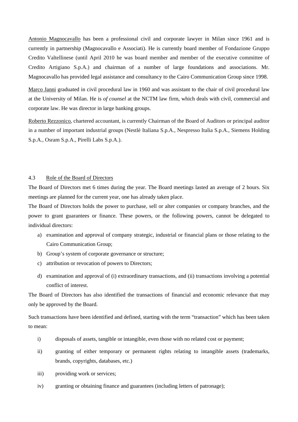Antonio Magnocavallo has been a professional civil and corporate lawyer in Milan since 1961 and is currently in partnership (Magnocavallo e Associati). He is currently board member of Fondazione Gruppo Credito Valtellinese (until April 2010 he was board member and member of the executive committee of Credito Artigiano S.p.A.) and chairman of a number of large foundations and associations. Mr. Magnocavallo has provided legal assistance and consultancy to the Cairo Communication Group since 1998.

Marco Janni graduated in civil procedural law in 1960 and was assistant to the chair of civil procedural law at the University of Milan. He is *of counsel* at the NCTM law firm, which deals with civil, commercial and corporate law. He was director in large banking groups.

Roberto Rezzonico, chartered accountant, is currently Chairman of the Board of Auditors or principal auditor in a number of important industrial groups (Nestlè Italiana S.p.A., Nespresso Italia S.p.A., Siemens Holding S.p.A., Osram S.p.A., Pirelli Labs S.p.A.).

## 4.3 Role of the Board of Directors

The Board of Directors met 6 times during the year. The Board meetings lasted an average of 2 hours. Six meetings are planned for the current year, one has already taken place.

The Board of Directors holds the power to purchase, sell or alter companies or company branches, and the power to grant guarantees or finance. These powers, or the following powers, cannot be delegated to individual directors:

- a) examination and approval of company strategic, industrial or financial plans or those relating to the Cairo Communication Group;
- b) Group's system of corporate governance or structure;
- c) attribution or revocation of powers to Directors;
- d) examination and approval of (i) extraordinary transactions, and (ii) transactions involving a potential conflict of interest.

The Board of Directors has also identified the transactions of financial and economic relevance that may only be approved by the Board.

Such transactions have been identified and defined, starting with the term "transaction" which has been taken to mean:

- i) disposals of assets, tangible or intangible, even those with no related cost or payment;
- ii) granting of either temporary or permanent rights relating to intangible assets (trademarks, brands, copyrights, databases, etc.)
- iii) providing work or services;
- iv) granting or obtaining finance and guarantees (including letters of patronage);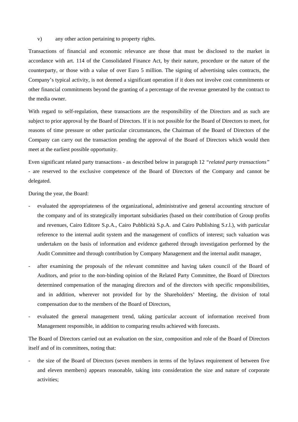v) any other action pertaining to property rights.

Transactions of financial and economic relevance are those that must be disclosed to the market in accordance with art. 114 of the Consolidated Finance Act, by their nature, procedure or the nature of the counterparty, or those with a value of over Euro 5 million. The signing of advertising sales contracts, the Company's typical activity, is not deemed a significant operation if it does not involve cost commitments or other financial commitments beyond the granting of a percentage of the revenue generated by the contract to the media owner.

With regard to self-regulation, these transactions are the responsibility of the Directors and as such are subject to prior approval by the Board of Directors. If it is not possible for the Board of Directors to meet, for reasons of time pressure or other particular circumstances, the Chairman of the Board of Directors of the Company can carry out the transaction pending the approval of the Board of Directors which would then meet at the earliest possible opportunity.

Even significant related party transactions - as described below in paragraph 12 *"related party transactions"* - are reserved to the exclusive competence of the Board of Directors of the Company and cannot be delegated.

During the year, the Board:

- evaluated the appropriateness of the organizational, administrative and general accounting structure of the company and of its strategically important subsidiaries (based on their contribution of Group profits and revenues, Cairo Editore S.p.A., Cairo Pubblicità S.p.A. and Cairo Publishing S.r.l.), with particular reference to the internal audit system and the management of conflicts of interest; such valuation was undertaken on the basis of information and evidence gathered through investigation performed by the Audit Committee and through contribution by Company Management and the internal audit manager,
- after examining the proposals of the relevant committee and having taken council of the Board of Auditors, and prior to the non-binding opinion of the Related Party Committee, the Board of Directors determined compensation of the managing directors and of the directors with specific responsibilities, and in addition, wherever not provided for by the Shareholders' Meeting, the division of total compensation due to the members of the Board of Directors,
- evaluated the general management trend, taking particular account of information received from Management responsible, in addition to comparing results achieved with forecasts.

The Board of Directors carried out an evaluation on the size, composition and role of the Board of Directors itself and of its committees, noting that:

- the size of the Board of Directors (seven members in terms of the bylaws requirement of between five and eleven members) appears reasonable, taking into consideration the size and nature of corporate activities;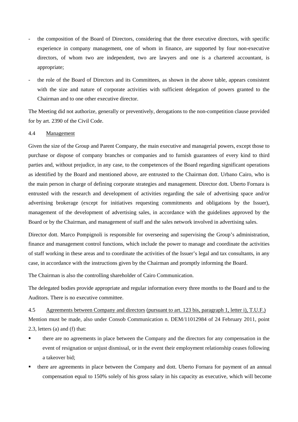- the composition of the Board of Directors, considering that the three executive directors, with specific experience in company management, one of whom in finance, are supported by four non-executive directors, of whom two are independent, two are lawyers and one is a chartered accountant, is appropriate;
- the role of the Board of Directors and its Committees, as shown in the above table, appears consistent with the size and nature of corporate activities with sufficient delegation of powers granted to the Chairman and to one other executive director.

The Meeting did not authorize, generally or preventively, derogations to the non-competition clause provided for by art. 2390 of the Civil Code.

#### 4.4 Management

Given the size of the Group and Parent Company, the main executive and managerial powers, except those to purchase or dispose of company branches or companies and to furnish guarantees of every kind to third parties and, without prejudice, in any case, to the competences of the Board regarding significant operations as identified by the Board and mentioned above, are entrusted to the Chairman dott. Urbano Cairo, who is the main person in charge of defining corporate strategies and management. Director dott. Uberto Fornara is entrusted with the research and development of activities regarding the sale of advertising space and/or advertising brokerage (except for initiatives requesting commitments and obligations by the Issuer), management of the development of advertising sales, in accordance with the guidelines approved by the Board or by the Chairman, and management of staff and the sales network involved in advertising sales.

Director dott. Marco Pompignoli is responsible for overseeing and supervising the Group's administration, finance and management control functions, which include the power to manage and coordinate the activities of staff working in these areas and to coordinate the activities of the Issuer's legal and tax consultants, in any case, in accordance with the instructions given by the Chairman and promptly informing the Board.

The Chairman is also the controlling shareholder of Cairo Communication.

The delegated bodies provide appropriate and regular information every three months to the Board and to the Auditors. There is no executive committee.

4.5 Agreements between Company and directors (pursuant to art. 123 bis, paragraph 1, letter i), T.U.F.) Mention must be made, also under Consob Communication n. DEM/11012984 of 24 February 2011, point 2.3, letters (a) and (f) that:

- there are no agreements in place between the Company and the directors for any compensation in the event of resignation or unjust dismissal, or in the event their employment relationship ceases following a takeover bid;
- there are agreements in place between the Company and dott. Uberto Fornara for payment of an annual compensation equal to 150% solely of his gross salary in his capacity as executive, which will become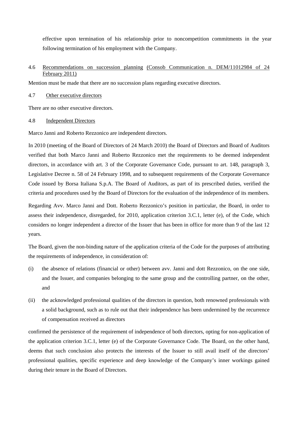effective upon termination of his relationship prior to noncompetition commitments in the year following termination of his employment with the Company.

## 4.6 Recommendations on succession planning (Consob Communication n. DEM/11012984 of 24 February 2011)

Mention must be made that there are no succession plans regarding executive directors.

#### 4.7 Other executive directors

There are no other executive directors.

#### 4.8 Independent Directors

Marco Janni and Roberto Rezzonico are independent directors.

In 2010 (meeting of the Board of Directors of 24 March 2010) the Board of Directors and Board of Auditors verified that both Marco Janni and Roberto Rezzonico met the requirements to be deemed independent directors, in accordance with art. 3 of the Corporate Governance Code, pursuant to art. 148, paragraph 3, Legislative Decree n. 58 of 24 February 1998, and to subsequent requirements of the Corporate Governance Code issued by Borsa Italiana S.p.A. The Board of Auditors, as part of its prescribed duties, verified the criteria and procedures used by the Board of Directors for the evaluation of the independence of its members.

Regarding Avv. Marco Janni and Dott. Roberto Rezzonico's position in particular, the Board, in order to assess their independence, disregarded, for 2010, application criterion 3.C.1, letter (e), of the Code, which considers no longer independent a director of the Issuer that has been in office for more than 9 of the last 12 years.

The Board, given the non-binding nature of the application criteria of the Code for the purposes of attributing the requirements of independence, in consideration of:

- (i) the absence of relations (financial or other) between avv. Janni and dott Rezzonico, on the one side, and the Issuer, and companies belonging to the same group and the controlling partner, on the other, and
- (ii) the acknowledged professional qualities of the directors in question, both renowned professionals with a solid background, such as to rule out that their independence has been undermined by the recurrence of compensation received as directors

confirmed the persistence of the requirement of independence of both directors, opting for non-application of the application criterion 3.C.1, letter (e) of the Corporate Governance Code. The Board, on the other hand, deems that such conclusion also protects the interests of the Issuer to still avail itself of the directors' professional qualities, specific experience and deep knowledge of the Company's inner workings gained during their tenure in the Board of Directors.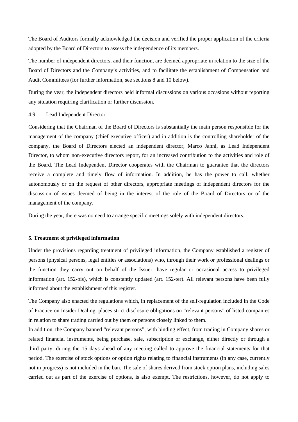The Board of Auditors formally acknowledged the decision and verified the proper application of the criteria adopted by the Board of Directors to assess the independence of its members.

The number of independent directors, and their function, are deemed appropriate in relation to the size of the Board of Directors and the Company's activities, and to facilitate the establishment of Compensation and Audit Committees (for further information, see sections 8 and 10 below).

During the year, the independent directors held informal discussions on various occasions without reporting any situation requiring clarification or further discussion.

#### 4.9 Lead Independent Director

Considering that the Chairman of the Board of Directors is substantially the main person responsible for the management of the company (chief executive officer) and in addition is the controlling shareholder of the company, the Board of Directors elected an independent director, Marco Janni, as Lead Independent Director, to whom non-executive directors report, for an increased contribution to the activities and role of the Board. The Lead Independent Director cooperates with the Chairman to guarantee that the directors receive a complete and timely flow of information. In addition, he has the power to call, whether autonomously or on the request of other directors, appropriate meetings of independent directors for the discussion of issues deemed of being in the interest of the role of the Board of Directors or of the management of the company.

During the year, there was no need to arrange specific meetings solely with independent directors.

#### **5. Treatment of privileged information**

Under the provisions regarding treatment of privileged information, the Company established a register of persons (physical persons, legal entities or associations) who, through their work or professional dealings or the function they carry out on behalf of the Issuer, have regular or occasional access to privileged information (art. 152-bis), which is constantly updated (art. 152-ter). All relevant persons have been fully informed about the establishment of this register.

The Company also enacted the regulations which, in replacement of the self-regulation included in the Code of Practice on Insider Dealing, places strict disclosure obligations on "relevant persons" of listed companies in relation to share trading carried out by them or persons closely linked to them.

In addition, the Company banned "relevant persons", with binding effect, from trading in Company shares or related financial instruments, being purchase, sale, subscription or exchange, either directly or through a third party, during the 15 days ahead of any meeting called to approve the financial statements for that period. The exercise of stock options or option rights relating to financial instruments (in any case, currently not in progress) is not included in the ban. The sale of shares derived from stock option plans, including sales carried out as part of the exercise of options, is also exempt. The restrictions, however, do not apply to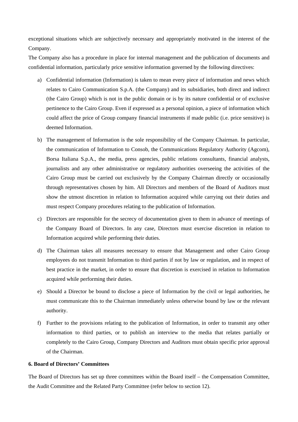exceptional situations which are subjectively necessary and appropriately motivated in the interest of the Company.

The Company also has a procedure in place for internal management and the publication of documents and confidential information, particularly price sensitive information governed by the following directives:

- a) Confidential information (Information) is taken to mean every piece of information and news which relates to Cairo Communication S.p.A. (the Company) and its subsidiaries, both direct and indirect (the Cairo Group) which is not in the public domain or is by its nature confidential or of exclusive pertinence to the Cairo Group. Even if expressed as a personal opinion, a piece of information which could affect the price of Group company financial instruments if made public (i.e. price sensitive) is deemed Information.
- b) The management of Information is the sole responsibility of the Company Chairman. In particular, the communication of Information to Consob, the Communications Regulatory Authority (Agcom), Borsa Italiana S.p.A., the media, press agencies, public relations consultants, financial analysts, journalists and any other administrative or regulatory authorities overseeing the activities of the Cairo Group must be carried out exclusively by the Company Chairman directly or occasionally through representatives chosen by him. All Directors and members of the Board of Auditors must show the utmost discretion in relation to Information acquired while carrying out their duties and must respect Company procedures relating to the publication of Information.
- c) Directors are responsible for the secrecy of documentation given to them in advance of meetings of the Company Board of Directors. In any case, Directors must exercise discretion in relation to Information acquired while performing their duties.
- d) The Chairman takes all measures necessary to ensure that Management and other Cairo Group employees do not transmit Information to third parties if not by law or regulation, and in respect of best practice in the market, in order to ensure that discretion is exercised in relation to Information acquired while performing their duties.
- e) Should a Director be bound to disclose a piece of Information by the civil or legal authorities, he must communicate this to the Chairman immediately unless otherwise bound by law or the relevant authority.
- f) Further to the provisions relating to the publication of Information, in order to transmit any other information to third parties, or to publish an interview to the media that relates partially or completely to the Cairo Group, Company Directors and Auditors must obtain specific prior approval of the Chairman.

#### **6. Board of Directors' Committees**

The Board of Directors has set up three committees within the Board itself – the Compensation Committee, the Audit Committee and the Related Party Committee (refer below to section 12).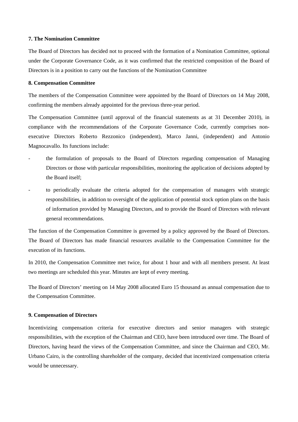#### **7. The Nomination Committee**

The Board of Directors has decided not to proceed with the formation of a Nomination Committee, optional under the Corporate Governance Code, as it was confirmed that the restricted composition of the Board of Directors is in a position to carry out the functions of the Nomination Committee

#### **8. Compensation Committee**

The members of the Compensation Committee were appointed by the Board of Directors on 14 May 2008, confirming the members already appointed for the previous three-year period.

The Compensation Committee (until approval of the financial statements as at 31 December 2010), in compliance with the recommendations of the Corporate Governance Code, currently comprises nonexecutive Directors Roberto Rezzonico (independent), Marco Janni, (independent) and Antonio Magnocavallo. Its functions include:

- the formulation of proposals to the Board of Directors regarding compensation of Managing Directors or those with particular responsibilities, monitoring the application of decisions adopted by the Board itself;
- to periodically evaluate the criteria adopted for the compensation of managers with strategic responsibilities, in addition to oversight of the application of potential stock option plans on the basis of information provided by Managing Directors, and to provide the Board of Directors with relevant general recommendations.

The function of the Compensation Committee is governed by a policy approved by the Board of Directors. The Board of Directors has made financial resources available to the Compensation Committee for the execution of its functions.

In 2010, the Compensation Committee met twice, for about 1 hour and with all members present. At least two meetings are scheduled this year. Minutes are kept of every meeting.

The Board of Directors' meeting on 14 May 2008 allocated Euro 15 thousand as annual compensation due to the Compensation Committee.

#### **9. Compensation of Directors**

Incentivizing compensation criteria for executive directors and senior managers with strategic responsibilities, with the exception of the Chairman and CEO, have been introduced over time. The Board of Directors, having heard the views of the Compensation Committee, and since the Chairman and CEO, Mr. Urbano Cairo, is the controlling shareholder of the company, decided that incentivized compensation criteria would be unnecessary.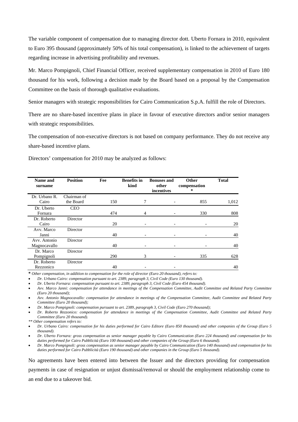The variable component of compensation due to managing director dott. Uberto Fornara in 2010, equivalent to Euro 395 thousand (approximately 50% of his total compensation), is linked to the achievement of targets regarding increase in advertising profitability and revenues.

Mr. Marco Pompignoli, Chief Financial Officer, received supplementary compensation in 2010 of Euro 180 thousand for his work, following a decision made by the Board based on a proposal by the Compensation Committee on the basis of thorough qualitative evaluations.

Senior managers with strategic responsibilities for Cairo Communication S.p.A. fulfill the role of Directors.

There are no share-based incentive plans in place in favour of executive directors and/or senior managers with strategic responsibilities.

The compensation of non-executive directors is not based on company performance. They do not receive any share-based incentive plans.

Directors' compensation for 2010 may be analyzed as follows:

| Name and<br>surname | <b>Position</b> | Fee | <b>Benefits in</b><br>kind | <b>Bonuses and</b><br>other<br>incentives | Other<br>compensation<br>* | <b>Total</b> |
|---------------------|-----------------|-----|----------------------------|-------------------------------------------|----------------------------|--------------|
| Dr. Urbano R.       | Chairman of     |     |                            |                                           |                            |              |
| Cairo               | the Board       | 150 | 7                          |                                           | 855                        | 1,012        |
| Dr. Uberto          | <b>CEO</b>      |     |                            |                                           |                            |              |
| Fornara             |                 | 474 | 4                          |                                           | 330                        | 808          |
| Dr. Roberto         | Director        |     |                            |                                           |                            |              |
| Cairo               |                 | 20  |                            |                                           |                            | 20           |
| Avv. Marco          | Director        |     |                            |                                           |                            |              |
| Janni               |                 | 40  |                            |                                           |                            | 40           |
| Avv. Antonio        | Director        |     |                            |                                           |                            |              |
| Magnocavallo        |                 | 40  |                            |                                           |                            | 40           |
| Dr. Marco           | Director        |     |                            |                                           |                            |              |
| Pompignoli          |                 | 290 | 3                          |                                           | 335                        | 628          |
| Dr. Roberto         | Director        |     |                            |                                           |                            |              |
| Rezzonico           |                 | 40  |                            |                                           |                            | 40           |

**\*** *Other compensation, in addition to compensation for the role of director (Euro 20 thousand), refers to:*

• *Dr. Urbano Cairo: compensation pursuant to art. 2389, paragraph 3, Civil Code (Euro 130 thousand).* 

• *Dr. Uberto Fornara: compensation pursuant to art. 2389, paragraph 3, Civil Code (Euro 454 thousand).* 

• *Avv. Marco Janni: compensation for attendance in meetings of the Compensation Committee, Audit Committee and Related Party Committee (Euro 20 thousand);* 

• *Avv. Antonio Magnocavallo: compensation for attendance in meetings of the Compensation Committee, Audit Committee and Related Party Committee (Euro 20 thousand);* 

• *Dr. Marco Pompignoli: compensation pursuant to art. 2389, paragraph 3, Civil Code (Euro 270 thousand);* 

• *Dr. Roberto Rezzonico: compensation for attendance in meetings of the Compensation Committee, Audit Committee and Related Party Committee (Euro 20 thousand).* 

*\*\* Other compensation refers to:* 

• *Dr. Urbano Cairo: compensation for his duties performed for Cairo Editore (Euro 850 thousand) and other companies of the Group (Euro 5 thousand).* 

• *Dr. Uberto Fornara: gross compensation as senior manager payable by Cairo Communication (Euro 224 thousand) and compensation for his duties performed for Cairo Pubblicità (Euro 100 thousand) and other companies of the Group (Euro 6 thousand).* 

• *Dr. Marco Pompignoli: gross compensation as senior manager payable by Cairo Communication (Euro 140 thousand) and compensation for his duties performed for Cairo Pubblicità (Euro 190 thousand) and other companies in the Group (Euro 5 thousand).* 

No agreements have been entered into between the Issuer and the directors providing for compensation payments in case of resignation or unjust dismissal/removal or should the employment relationship come to an end due to a takeover bid.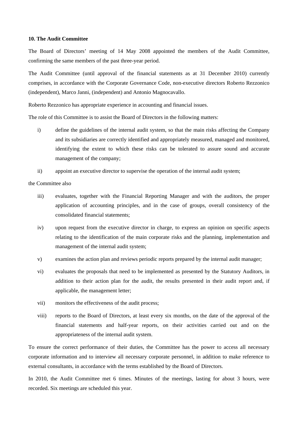#### **10. The Audit Committee**

The Board of Directors' meeting of 14 May 2008 appointed the members of the Audit Committee, confirming the same members of the past three-year period.

The Audit Committee (until approval of the financial statements as at 31 December 2010) currently comprises, in accordance with the Corporate Governance Code, non-executive directors Roberto Rezzonico (independent), Marco Janni, (independent) and Antonio Magnocavallo.

Roberto Rezzonico has appropriate experience in accounting and financial issues.

The role of this Committee is to assist the Board of Directors in the following matters:

- i) define the guidelines of the internal audit system, so that the main risks affecting the Company and its subsidiaries are correctly identified and appropriately measured, managed and monitored, identifying the extent to which these risks can be tolerated to assure sound and accurate management of the company;
- ii) appoint an executive director to supervise the operation of the internal audit system;

the Committee also

- iii) evaluates, together with the Financial Reporting Manager and with the auditors, the proper application of accounting principles, and in the case of groups, overall consistency of the consolidated financial statements;
- iv) upon request from the executive director in charge, to express an opinion on specific aspects relating to the identification of the main corporate risks and the planning, implementation and management of the internal audit system;
- v) examines the action plan and reviews periodic reports prepared by the internal audit manager;
- vi) evaluates the proposals that need to be implemented as presented by the Statutory Auditors, in addition to their action plan for the audit, the results presented in their audit report and, if applicable, the management letter;
- vii) monitors the effectiveness of the audit process;
- viii) reports to the Board of Directors, at least every six months, on the date of the approval of the financial statements and half-year reports, on their activities carried out and on the appropriateness of the internal audit system.

To ensure the correct performance of their duties, the Committee has the power to access all necessary corporate information and to interview all necessary corporate personnel, in addition to make reference to external consultants, in accordance with the terms established by the Board of Directors.

In 2010, the Audit Committee met 6 times. Minutes of the meetings, lasting for about 3 hours, were recorded. Six meetings are scheduled this year.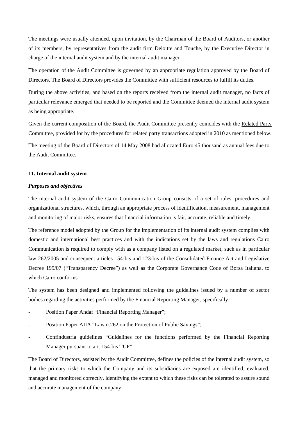The meetings were usually attended, upon invitation, by the Chairman of the Board of Auditors, or another of its members, by representatives from the audit firm Deloitte and Touche, by the Executive Director in charge of the internal audit system and by the internal audit manager.

The operation of the Audit Committee is governed by an appropriate regulation approved by the Board of Directors. The Board of Directors provides the Committee with sufficient resources to fulfill its duties.

During the above activities, and based on the reports received from the internal audit manager, no facts of particular relevance emerged that needed to be reported and the Committee deemed the internal audit system as being appropriate.

Given the current composition of the Board, the Audit Committee presently coincides with the Related Party Committee, provided for by the procedures for related party transactions adopted in 2010 as mentioned below.

The meeting of the Board of Directors of 14 May 2008 had allocated Euro 45 thousand as annual fees due to the Audit Committee.

#### **11. Internal audit system**

#### *Purposes and objectives*

The internal audit system of the Cairo Communication Group consists of a set of rules, procedures and organizational structures, which, through an appropriate process of identification, measurement, management and monitoring of major risks, ensures that financial information is fair, accurate, reliable and timely.

The reference model adopted by the Group for the implementation of its internal audit system complies with domestic and international best practices and with the indications set by the laws and regulations Cairo Communication is required to comply with as a company listed on a regulated market, such as in particular law 262/2005 and consequent articles 154-bis and 123-bis of the Consolidated Finance Act and Legislative Decree 195/07 ("Transparency Decree") as well as the Corporate Governance Code of Borsa Italiana, to which Cairo conforms.

The system has been designed and implemented following the guidelines issued by a number of sector bodies regarding the activities performed by the Financial Reporting Manager, specifically:

- Position Paper Andaf "Financial Reporting Manager":
- Position Paper AIIA "Law n.262 on the Protection of Public Savings";
- Confindustria guidelines "Guidelines for the functions performed by the Financial Reporting Manager pursuant to art. 154-bis TUF".

The Board of Directors, assisted by the Audit Committee, defines the policies of the internal audit system, so that the primary risks to which the Company and its subsidiaries are exposed are identified, evaluated, managed and monitored correctly, identifying the extent to which these risks can be tolerated to assure sound and accurate management of the company.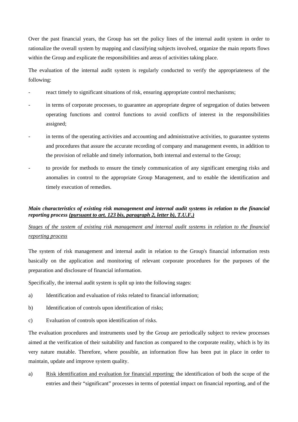Over the past financial years, the Group has set the policy lines of the internal audit system in order to rationalize the overall system by mapping and classifying subjects involved, organize the main reports flows within the Group and explicate the responsibilities and areas of activities taking place.

The evaluation of the internal audit system is regularly conducted to verify the appropriateness of the following:

- react timely to significant situations of risk, ensuring appropriate control mechanisms;
- in terms of corporate processes, to guarantee an appropriate degree of segregation of duties between operating functions and control functions to avoid conflicts of interest in the responsibilities assigned;
- in terms of the operating activities and accounting and administrative activities, to guarantee systems and procedures that assure the accurate recording of company and management events, in addition to the provision of reliable and timely information, both internal and external to the Group;
- to provide for methods to ensure the timely communication of any significant emerging risks and anomalies in control to the appropriate Group Management, and to enable the identification and timely execution of remedies.

## *Main characteristics of existing risk management and internal audit systems in relation to the financial reporting process (pursuant to art. 123 bis, paragraph 2, letter b), T.U.F.)*

## *Stages of the system of existing risk management and internal audit systems in relation to the financial reporting process*

The system of risk management and internal audit in relation to the Group's financial information rests basically on the application and monitoring of relevant corporate procedures for the purposes of the preparation and disclosure of financial information.

Specifically, the internal audit system is split up into the following stages:

- a) Identification and evaluation of risks related to financial information;
- b) Identification of controls upon identification of risks;
- c) Evaluation of controls upon identification of risks.

The evaluation procedures and instruments used by the Group are periodically subject to review processes aimed at the verification of their suitability and function as compared to the corporate reality, which is by its very nature mutable. Therefore, where possible, an information flow has been put in place in order to maintain, update and improve system quality.

a) Risk identification and evaluation for financial reporting: the identification of both the scope of the entries and their "significant" processes in terms of potential impact on financial reporting, and of the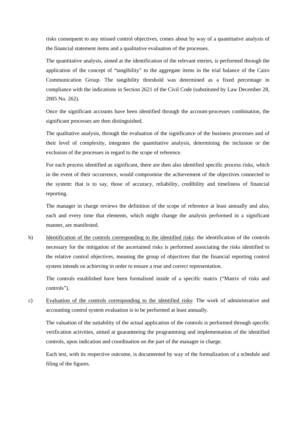risks consequent to any missed control objectives, comes about by way of a quantitative analysis of the financial statement items and a qualitative evaluation of the processes.

The quantitative analysis, aimed at the identification of the relevant entries, is performed through the application of the concept of "tangibility" to the aggregate items in the trial balance of the Cairo Communication Group. The tangibility threshold was determined as a fixed percentage in compliance with the indications in Section 2621 of the Civil Code (substituted by Law December 28, 2005 No. 262).

Once the significant accounts have been identified through the account-processes combination, the significant processes are then distinguished.

The qualitative analysis, through the evaluation of the significance of the business processes and of their level of complexity, integrates the quantitative analysis, determining the inclusion or the exclusion of the processes in regard to the scope of reference.

For each process identified as significant, there are then also identified specific process risks, which in the event of their occurrence, would compromise the achievement of the objectives connected to the system: that is to say, those of accuracy, reliability, credibility and timeliness of financial reporting.

The manager in charge reviews the definition of the scope of reference at least annually and also, each and every time that elements, which might change the analysis performed in a significant manner, are manifested.

b) Identification of the controls corresponding to the identified risks: the identification of the controls necessary for the mitigation of the ascertained risks is performed associating the risks identified to the relative control objectives, meaning the group of objectives that the financial reporting control system intends on achieving in order to ensure a true and correct representation.

The controls established have been formalized inside of a specific matrix ("Matrix of risks and controls").

c) Evaluation of the controls corresponding to the identified risks: The work of administrative and accounting control system evaluation is to be performed at least annually.

The valuation of the suitability of the actual application of the controls is performed through specific verification activities, aimed at guaranteeing the programming and implementation of the identified controls, upon indication and coordination on the part of the manager in charge.

Each test, with its respective outcome, is documented by way of the formalization of a schedule and filing of the figures.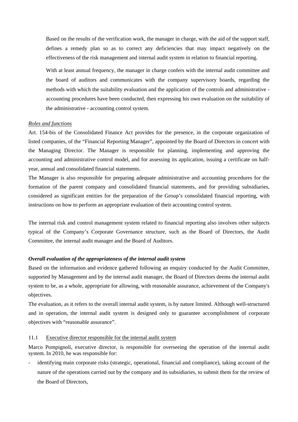Based on the results of the verification work, the manager in charge, with the aid of the support staff, defines a remedy plan so as to correct any deficiencies that may impact negatively on the effectiveness of the risk management and internal audit system in relation to financial reporting.

With at least annual frequency, the manager in charge confers with the internal audit committee and the board of auditors and communicates with the company supervisory boards, regarding the methods with which the suitability evaluation and the application of the controls and administrative accounting procedures have been conducted, then expressing his own evaluation on the suitability of the administrative - accounting control system.

#### *Roles and functions*

Art. 154-bis of the Consolidated Finance Act provides for the presence, in the corporate organization of listed companies, of the "Financial Reporting Manager", appointed by the Board of Directors in concert with the Managing Director. The Manager is responsible for planning, implementing and approving the accounting and administrative control model, and for assessing its application, issuing a certificate on halfyear, annual and consolidated financial statements.

The Manager is also responsible for preparing adequate administrative and accounting procedures for the formation of the parent company and consolidated financial statements, and for providing subsidiaries, considered as significant entities for the preparation of the Group's consolidated financial reporting, with instructions on how to perform an appropriate evaluation of their accounting control system.

The internal risk and control management system related to financial reporting also involves other subjects typical of the Company's Corporate Governance structure, such as the Board of Directors, the Audit Committee, the internal audit manager and the Board of Auditors.

#### *Overall evaluation of the appropriateness of the internal audit system*

Based on the information and evidence gathered following an enquiry conducted by the Audit Committee, supported by Management and by the internal audit manager, the Board of Directors deems the internal audit system to be, as a whole, appropriate for allowing, with reasonable assurance, achievement of the Company's objectives.

The evaluation, as it refers to the overall internal audit system, is by nature limited. Although well-structured and in operation, the internal audit system is designed only to guarantee accomplishment of corporate objectives with "reasonable assurance".

## 11.1 Executive director responsible for the internal audit system

Marco Pompignoli, executive director, is responsible for overseeing the operation of the internal audit system. In 2010, he was responsible for:

identifying main corporate risks (strategic, operational, financial and compliance), taking account of the nature of the operations carried out by the company and its subsidiaries, to submit them for the review of the Board of Directors,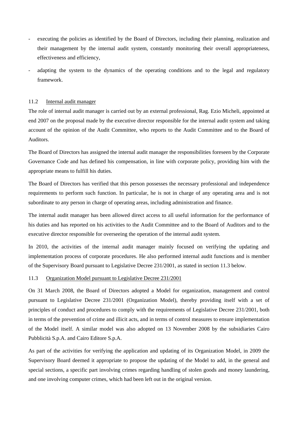- executing the policies as identified by the Board of Directors, including their planning, realization and their management by the internal audit system, constantly monitoring their overall appropriateness, effectiveness and efficiency,
- adapting the system to the dynamics of the operating conditions and to the legal and regulatory framework.

#### 11.2 Internal audit manager

The role of internal audit manager is carried out by an external professional, Rag. Ezio Micheli, appointed at end 2007 on the proposal made by the executive director responsible for the internal audit system and taking account of the opinion of the Audit Committee, who reports to the Audit Committee and to the Board of Auditors.

The Board of Directors has assigned the internal audit manager the responsibilities foreseen by the Corporate Governance Code and has defined his compensation, in line with corporate policy, providing him with the appropriate means to fulfill his duties.

The Board of Directors has verified that this person possesses the necessary professional and independence requirements to perform such function. In particular, he is not in charge of any operating area and is not subordinate to any person in charge of operating areas, including administration and finance.

The internal audit manager has been allowed direct access to all useful information for the performance of his duties and has reported on his activities to the Audit Committee and to the Board of Auditors and to the executive director responsible for overseeing the operation of the internal audit system.

In 2010, the activities of the internal audit manager mainly focused on verifying the updating and implementation process of corporate procedures. He also performed internal audit functions and is member of the Supervisory Board pursuant to Legislative Decree 231/2001, as stated in section 11.3 below.

#### 11.3 Organization Model pursuant to Legislative Decree 231/2001

On 31 March 2008, the Board of Directors adopted a Model for organization, management and control pursuant to Legislative Decree 231/2001 (Organization Model), thereby providing itself with a set of principles of conduct and procedures to comply with the requirements of Legislative Decree 231/2001, both in terms of the prevention of crime and illicit acts, and in terms of control measures to ensure implementation of the Model itself. A similar model was also adopted on 13 November 2008 by the subsidiaries Cairo Pubblicità S.p.A. and Cairo Editore S.p.A.

As part of the activities for verifying the application and updating of its Organization Model, in 2009 the Supervisory Board deemed it appropriate to propose the updating of the Model to add, in the general and special sections, a specific part involving crimes regarding handling of stolen goods and money laundering, and one involving computer crimes, which had been left out in the original version.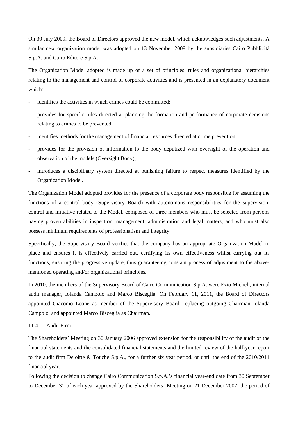On 30 July 2009, the Board of Directors approved the new model, which acknowledges such adjustments. A similar new organization model was adopted on 13 November 2009 by the subsidiaries Cairo Pubblicità S.p.A. and Cairo Editore S.p.A.

The Organization Model adopted is made up of a set of principles, rules and organizational hierarchies relating to the management and control of corporate activities and is presented in an explanatory document which:

- identifies the activities in which crimes could be committed;
- provides for specific rules directed at planning the formation and performance of corporate decisions relating to crimes to be prevented;
- identifies methods for the management of financial resources directed at crime prevention;
- provides for the provision of information to the body deputized with oversight of the operation and observation of the models (Oversight Body);
- introduces a disciplinary system directed at punishing failure to respect measures identified by the Organization Model.

The Organization Model adopted provides for the presence of a corporate body responsible for assuming the functions of a control body (Supervisory Board) with autonomous responsibilities for the supervision, control and initiative related to the Model, composed of three members who must be selected from persons having proven abilities in inspection, management, administration and legal matters, and who must also possess minimum requirements of professionalism and integrity.

Specifically, the Supervisory Board verifies that the company has an appropriate Organization Model in place and ensures it is effectively carried out, certifying its own effectiveness whilst carrying out its functions, ensuring the progressive update, thus guaranteeing constant process of adjustment to the abovementioned operating and/or organizational principles.

In 2010, the members of the Supervisory Board of Cairo Communication S.p.A. were Ezio Micheli, internal audit manager, Iolanda Campolo and Marco Bisceglia. On February 11, 2011, the Board of Directors appointed Giacomo Leone as member of the Supervisory Board, replacing outgoing Chairman Iolanda Campolo, and appointed Marco Bisceglia as Chairman.

#### 11.4 Audit Firm

The Shareholders' Meeting on 30 January 2006 approved extension for the responsibility of the audit of the financial statements and the consolidated financial statements and the limited review of the half-year report to the audit firm Deloitte & Touche S.p.A., for a further six year period, or until the end of the 2010/2011 financial year.

Following the decision to change Cairo Communication S.p.A.'s financial year-end date from 30 September to December 31 of each year approved by the Shareholders' Meeting on 21 December 2007, the period of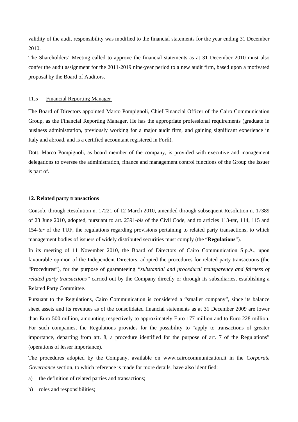validity of the audit responsibility was modified to the financial statements for the year ending 31 December 2010.

The Shareholders' Meeting called to approve the financial statements as at 31 December 2010 must also confer the audit assignment for the 2011-2019 nine-year period to a new audit firm, based upon a motivated proposal by the Board of Auditors.

#### 11.5 Financial Reporting Manager

The Board of Directors appointed Marco Pompignoli, Chief Financial Officer of the Cairo Communication Group, as the Financial Reporting Manager. He has the appropriate professional requirements (graduate in business administration, previously working for a major audit firm, and gaining significant experience in Italy and abroad, and is a certified accountant registered in Forlì).

Dott. Marco Pompignoli, as board member of the company, is provided with executive and management delegations to oversee the administration, finance and management control functions of the Group the Issuer is part of.

#### **12. Related party transactions**

Consob, through Resolution n. 17221 of 12 March 2010, amended through subsequent Resolution n. 17389 of 23 June 2010, adopted, pursuant to art. 2391-*bis* of the Civil Code, and to articles 113-*ter*, 114, 115 and 154-*ter* of the TUF, the regulations regarding provisions pertaining to related party transactions, to which management bodies of issuers of widely distributed securities must comply (the "**Regulations**").

In its meeting of 11 November 2010, the Board of Directors of Cairo Communication S.p.A., upon favourable opinion of the Independent Directors, adopted the procedures for related party transactions (the "Procedures"), for the purpose of guaranteeing *"substantial and procedural transparency and fairness of related party transactions"* carried out by the Company directly or through its subsidiaries, establishing a Related Party Committee.

Pursuant to the Regulations, Cairo Communication is considered a "smaller company", since its balance sheet assets and its revenues as of the consolidated financial statements as at 31 December 2009 are lower than Euro 500 million, amounting respectively to approximately Euro 177 million and to Euro 228 million. For such companies, the Regulations provides for the possibility to "apply to transactions of greater importance, departing from art. 8, a procedure identified for the purpose of art. 7 of the Regulations" (operations of lesser importance).

The procedures adopted by the Company, available on [www.cairocommunication.it](http://www.cairocommunication.it/) in the *Corporate Governance* section*,* to which reference is made for more details, have also identified:

- a) the definition of related parties and transactions;
- b) roles and responsibilities;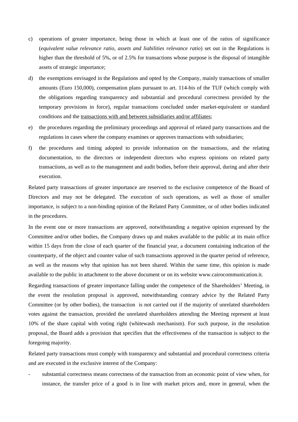- c) operations of greater importance, being those in which at least one of the ratios of significance (*equivalent value relevance ratio, assets and liabilities relevance ratio*) set out in the Regulations is higher than the threshold of 5%, or of 2.5% for transactions whose purpose is the disposal of intangible assets of strategic importance;
- d) the exemptions envisaged in the Regulations and opted by the Company, mainly transactions of smaller amounts (Euro 150,000), compensation plans pursuant to art. 114-bis of the TUF (which comply with the obligations regarding transparency and substantial and procedural correctness provided by the temporary provisions in force), regular transactions concluded under market-equivalent or standard conditions and the transactions with and between subsidiaries and/or affiliates;
- e) the procedures regarding the preliminary proceedings and approval of related party transactions and the regulations in cases where the company examines or approves transactions with subsidiaries;
- f) the procedures and timing adopted to provide information on the transactions, and the relating documentation, to the directors or independent directors who express opinions on related party transactions, as well as to the management and audit bodies, before their approval, during and after their execution.

Related party transactions of greater importance are reserved to the exclusive competence of the Board of Directors and may not be delegated. The execution of such operations, as well as those of smaller importance, is subject to a non-binding opinion of the Related Party Committee, or of other bodies indicated in the procedures.

In the event one or more transactions are approved, notwithstanding a negative opinion expressed by the Committee and/or other bodies, the Company draws up and makes available to the public at its main office within 15 days from the close of each quarter of the financial year, a document containing indication of the counterparty, of the object and counter value of such transactions approved in the quarter period of reference, as well as the reasons why that opinion has not been shared. Within the same time, this opinion is made available to the public in attachment to the above document or on its website [www.cairocommunication.it.](http://www.cairocommunication.it/)

Regarding transactions of greater importance falling under the competence of the Shareholders' Meeting, in the event the resolution proposal is approved, notwithstanding contrary advice by the Related Party Committee (or by other bodies), the transaction is not carried out if the majority of unrelated shareholders votes against the transaction, provided the unrelated shareholders attending the Meeting represent at least 10% of the share capital with voting right (whitewash mechanism). For such purpose, in the resolution proposal, the Board adds a provision that specifies that the effectiveness of the transaction is subject to the foregoing majority.

Related party transactions must comply with transparency and substantial and procedural correctness criteria and are executed in the exclusive interest of the Company:

substantial correctness means correctness of the transaction from an economic point of view when, for instance, the transfer price of a good is in line with market prices and, more in general, when the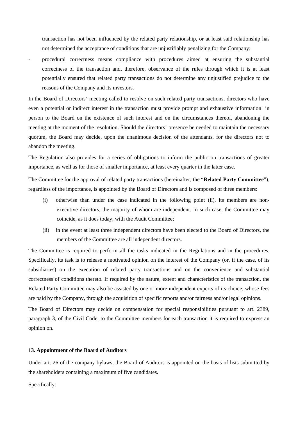transaction has not been influenced by the related party relationship, or at least said relationship has not determined the acceptance of conditions that are unjustifiably penalizing for the Company;

procedural correctness means compliance with procedures aimed at ensuring the substantial correctness of the transaction and, therefore, observance of the rules through which it is at least potentially ensured that related party transactions do not determine any unjustified prejudice to the reasons of the Company and its investors.

In the Board of Directors' meeting called to resolve on such related party transactions, directors who have even a potential or indirect interest in the transaction must provide prompt and exhaustive information in person to the Board on the existence of such interest and on the circumstances thereof, abandoning the meeting at the moment of the resolution. Should the directors' presence be needed to maintain the necessary quorum, the Board may decide, upon the unanimous decision of the attendants, for the directors not to abandon the meeting.

The Regulation also provides for a series of obligations to inform the public on transactions of greater importance, as well as for those of smaller importance, at least every quarter in the latter case.

The Committee for the approval of related party transactions (hereinafter, the "**Related Party Committee**"), regardless of the importance, is appointed by the Board of Directors and is composed of three members:

- (i) otherwise than under the case indicated in the following point (ii), its members are nonexecutive directors, the majority of whom are independent. In such case, the Committee may coincide, as it does today, with the Audit Committee;
- (ii) in the event at least three independent directors have been elected to the Board of Directors, the members of the Committee are all independent directors.

The Committee is required to perform all the tasks indicated in the Regulations and in the procedures. Specifically, its task is to release a motivated opinion on the interest of the Company (or, if the case, of its subsidiaries) on the execution of related party transactions and on the convenience and substantial correctness of conditions thereto. If required by the nature, extent and characteristics of the transaction, the Related Party Committee may also be assisted by one or more independent experts of its choice, whose fees are paid by the Company, through the acquisition of specific reports and/or fairness and/or legal opinions.

The Board of Directors may decide on compensation for special responsibilities pursuant to art. 2389, paragraph 3, of the Civil Code, to the Committee members for each transaction it is required to express an opinion on.

#### **13. Appointment of the Board of Auditors**

Under art. 26 of the company bylaws, the Board of Auditors is appointed on the basis of lists submitted by the shareholders containing a maximum of five candidates.

Specifically: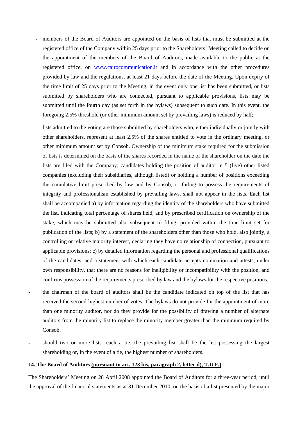- members of the Board of Auditors are appointed on the basis of lists that must be submitted at the registered office of the Company within 25 days prior to the Shareholders' Meeting called to decide on the appointment of the members of the Board of Auditors, made available to the public at the registered office, on [www.cairocommunication.it](http://www.cairocommunication.it/) and in accordance with the other procedures provided by law and the regulations, at least 21 days before the date of the Meeting. Upon expiry of the time limit of 25 days prior to the Meeting, in the event only one list has been submitted, or lists submitted by shareholders who are connected, pursuant to applicable provisions, lists may be submitted until the fourth day (as set forth in the bylaws) subsequent to such date. In this event, the foregoing 2.5% threshold (or other minimum amount set by prevailing laws) is reduced by half;
- lists admitted to the voting are those submitted by shareholders who, either individually or jointly with other shareholders, represent at least 2.5% of the shares entitled to vote in the ordinary meeting, or other minimum amount set by Consob. Ownership of the minimum stake required for the submission of lists is determined on the basis of the shares recorded in the name of the shareholder on the date the lists are filed with the Company; candidates holding the position of auditor in 5 (five) other listed companies (excluding their subsidiaries, although listed) or holding a number of positions exceeding the cumulative limit prescribed by law and by Consob, or failing to possess the requirements of integrity and professionalism established by prevailing laws, shall not appear in the lists. Each list shall be accompanied a) by information regarding the identity of the shareholders who have submitted the list, indicating total percentage of shares held, and by prescribed certification on ownership of the stake, which may be submitted also subsequent to filing, provided within the time limit set for publication of the lists; b) by a statement of the shareholders other than those who hold, also jointly, a controlling or relative majority interest, declaring they have no relationship of connection, pursuant to applicable provisions; c) by detailed information regarding the personal and professional qualifications of the candidates, and a statement with which each candidate accepts nomination and attests, under own responsibility, that there are no reasons for ineligibility or incompatibility with the position, and confirms possession of the requirements prescribed by law and the bylaws for the respective positions.
- the chairman of the board of auditors shall be the candidate indicated on top of the list that has received the second-highest number of votes. The bylaws do not provide for the appointment of more than one minority auditor, nor do they provide for the possibility of drawing a number of alternate auditors from the minority list to replace the minority member greater than the minimum required by Consob.
- should two or more lists reach a tie, the prevailing list shall be the list possessing the largest shareholding or, in the event of a tie, the highest number of shareholders.

### **14. The Board of Auditors (pursuant to art. 123 bis, paragraph 2, letter d), T.U.F.)**

The Shareholders' Meeting on 28 April 2008 appointed the Board of Auditors for a three-year period, until the approval of the financial statements as at 31 December 2010, on the basis of a list presented by the major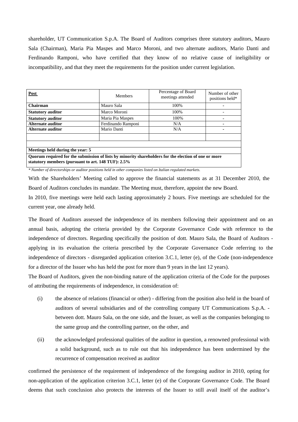shareholder, UT Communication S.p.A. The Board of Auditors comprises three statutory auditors, Mauro Sala (Chairman), Maria Pia Maspes and Marco Moroni, and two alternate auditors, Mario Danti and Ferdinando Ramponi, who have certified that they know of no relative cause of ineligibility or incompatibility, and that they meet the requirements for the position under current legislation.

| Post                                                                                                                                                       | <b>Members</b>     | Percentage of Board<br>meetings attended | Number of other<br>positions held* |  |
|------------------------------------------------------------------------------------------------------------------------------------------------------------|--------------------|------------------------------------------|------------------------------------|--|
| Chairman                                                                                                                                                   | Mauro Sala         | 100\%                                    |                                    |  |
| <b>Statutory auditor</b>                                                                                                                                   | Marco Moroni       | 100%                                     |                                    |  |
| <b>Statutory auditor</b>                                                                                                                                   | Maria Pia Maspes   | 100\%                                    |                                    |  |
| Alternate auditor                                                                                                                                          | Ferdinando Ramponi | N/A                                      |                                    |  |
| Alternate auditor                                                                                                                                          | Mario Danti        | N/A                                      |                                    |  |
|                                                                                                                                                            |                    |                                          |                                    |  |
| Meetings held during the year: 5                                                                                                                           |                    |                                          |                                    |  |
| Quorum required for the submission of lists by minority shareholders for the election of one or more<br>statutory members (pursuant to art. 148 TUF): 2.5% |                    |                                          |                                    |  |

*\* Number of directorships or auditor positions held in other companies listed on Italian regulated markets.* 

With the Shareholders' Meeting called to approve the financial statements as at 31 December 2010, the Board of Auditors concludes its mandate. The Meeting must, therefore, appoint the new Board.

In 2010, five meetings were held each lasting approximately 2 hours. Five meetings are scheduled for the current year, one already held.

The Board of Auditors assessed the independence of its members following their appointment and on an annual basis, adopting the criteria provided by the Corporate Governance Code with reference to the independence of directors. Regarding specifically the position of dott. Mauro Sala, the Board of Auditors applying in its evaluation the criteria prescribed by the Corporate Governance Code referring to the independence of directors - disregarded application criterion 3.C.1, letter (e), of the Code (non-independence for a director of the Issuer who has held the post for more than 9 years in the last 12 years).

The Board of Auditors, given the non-binding nature of the application criteria of the Code for the purposes of attributing the requirements of independence, in consideration of:

- (i) the absence of relations (financial or other) differing from the position also held in the board of auditors of several subsidiaries and of the controlling company UT Communications S.p.A. between dott. Mauro Sala, on the one side, and the Issuer, as well as the companies belonging to the same group and the controlling partner, on the other, and
- (ii) the acknowledged professional qualities of the auditor in question, a renowned professional with a solid background, such as to rule out that his independence has been undermined by the recurrence of compensation received as auditor

confirmed the persistence of the requirement of independence of the foregoing auditor in 2010, opting for non-application of the application criterion 3.C.1, letter (e) of the Corporate Governance Code. The Board deems that such conclusion also protects the interests of the Issuer to still avail itself of the auditor's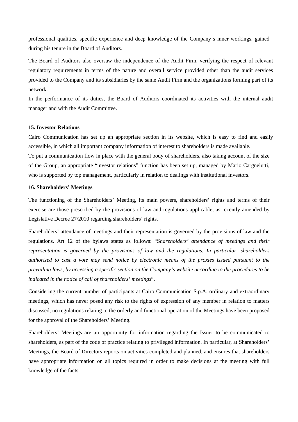professional qualities, specific experience and deep knowledge of the Company's inner workings, gained during his tenure in the Board of Auditors.

The Board of Auditors also oversaw the independence of the Audit Firm, verifying the respect of relevant regulatory requirements in terms of the nature and overall service provided other than the audit services provided to the Company and its subsidiaries by the same Audit Firm and the organizations forming part of its network.

In the performance of its duties, the Board of Auditors coordinated its activities with the internal audit manager and with the Audit Committee.

#### **15. Investor Relations**

Cairo Communication has set up an appropriate section in its website, which is easy to find and easily accessible, in which all important company information of interest to shareholders is made available.

To put a communication flow in place with the general body of shareholders, also taking account of the size of the Group, an appropriate "investor relations" function has been set up, managed by Mario Cargnelutti, who is supported by top management, particularly in relation to dealings with institutional investors.

#### **16. Shareholders' Meetings**

The functioning of the Shareholders' Meeting, its main powers, shareholders' rights and terms of their exercise are those prescribed by the provisions of law and regulations applicable, as recently amended by Legislative Decree 27/2010 regarding shareholders' rights.

Shareholders' attendance of meetings and their representation is governed by the provisions of law and the regulations. Art 12 of the bylaws states as follows: "S*hareholders' attendance of meetings and their representation is governed by the provisions of law and the regulations. In particular, shareholders authorized to cast a vote may send notice by electronic means of the proxies issued pursuant to the prevailing laws, by accessing a specific section on the Company's website according to the procedures to be indicated in the notice of call of shareholders' meetings*".

Considering the current number of participants at Cairo Communication S.p.A. ordinary and extraordinary meetings, which has never posed any risk to the rights of expression of any member in relation to matters discussed, no regulations relating to the orderly and functional operation of the Meetings have been proposed for the approval of the Shareholders' Meeting.

Shareholders' Meetings are an opportunity for information regarding the Issuer to be communicated to shareholders, as part of the code of practice relating to privileged information. In particular, at Shareholders' Meetings, the Board of Directors reports on activities completed and planned, and ensures that shareholders have appropriate information on all topics required in order to make decisions at the meeting with full knowledge of the facts.